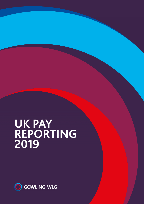# UK PAY **REPORTING 2019**

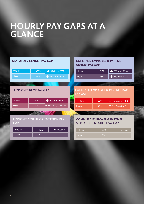## **HOURLY PAY GAPS AT A GLANCE**

| <b>STATUTORY GENDER PAY GAP</b> |                              |                                        | <b>COMBINED EMPLOYEE &amp; PARTNER</b><br><b>GENDER PAY GAP</b>             |     |                                             |
|---------------------------------|------------------------------|----------------------------------------|-----------------------------------------------------------------------------|-----|---------------------------------------------|
| Median                          | 20%                          | $\frac{1}{2}$ 5% from 2018             | Median                                                                      | 41% | $\frac{1}{2}$ 5% from 2018                  |
| Mean                            | 23%                          | $\frac{1}{2}$ 2% from 2018             | Mean                                                                        | 58% | $\frac{1}{2}$ 3% from 2018                  |
|                                 |                              |                                        |                                                                             |     |                                             |
|                                 | <b>EMPLOYEE BAME PAY GAP</b> |                                        | <b>PAY GAP</b>                                                              |     | <b>COMBINED EMPLOYEE &amp; PARTNER BAME</b> |
| Median                          | 15%                          | $\bigvee$ 1% from 2018                 | Median                                                                      | 23% | $\bigvee$ 1% from 2018                      |
| Mean                            | 24%                          | $\leftrightarrow$ no change from 2018  | Mean                                                                        | 48% | <sup>1</sup> 3% from 2018                   |
|                                 |                              |                                        |                                                                             |     |                                             |
| <b>GAP</b>                      |                              | <b>EMPLOYEE SEXUAL ORIENTATION PAY</b> | <b>COMBINED EMPLOYEE &amp; PARTNER</b><br><b>SEXUAL ORIENTATION PAY GAP</b> |     |                                             |
| Median                          | 15%                          | New measure                            | Median                                                                      | 23% | New measure                                 |
| Mean                            | 8%                           |                                        | Mean                                                                        | 7%  |                                             |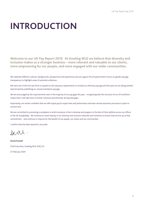# **INTRODUCTION**

**Welcome to our UK Pay Report 2019. At Gowling WLG we believe that diversity and inclusion makes us a stronger business – more relevant and valuable to our clients, more empowering for our people, and more engaged with our wider communities.**

We celebrate different cultures, backgrounds, perspectives and experiences and we support the UK government's focus on gender pay gap transparency to highlight areas of potential unfairness.

We were one of the first law firms to expand on the statutory requirements to include our ethnicity pay gap and this year we are taking another step forward by publishing our sexual orientation pay gap.

We are encouraged by the improvements seen in the majority of our pay gaps this year – recognising that the structure of our UK workforce means that it will take time to further minimise and eliminate all reported gaps.

Importantly, we remain confident that we offer equal pay for equal roles and performance and have annual assurance processes in place to monitor this.

We are committed to promoting a workplace in which everyone is free to develop and progress to the best of their abilities across our offices in the UK and globally. We continue to invest heavily in our diversity and inclusion networks and initiatives to ensure that we live up to that commitment – and continue to improve for the benefit of our people, our clients and our communities.

I confirm that the data reported is accurate.

Devel.

**David Fennell** Chief Executive, Gowling WLG (UK) LLP

27 February 2020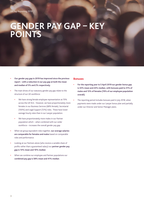### **•** When we group equivalent roles together, **our average salaries are comparable for females and males** based on comparable roles and performance. **•** Looking at our Partners alone (who receive a share of profits which vary from year to year, rather than a guaranteed salary) our **Partner gender pay gap is 16% mean and 10% median**. **• If we can be combined pay gap is 61% means our populations of the Partner populations of the Partner pay gap •** We have seen a **reduction in our gender bonus gap which is now 56% mean, 43% median** - a reduction of 8% and 6% respectively. **GENDER PAY GAP – KEY POINTS**

**–** We have proportionately more males in our Partner population which – when combined with our wider workforce – increases the overall gender pay gap.

**• Our gender pay gap in 2019 has improved since the previous report – with a reduction in our pay gap at both the mean and median of 5% and 2% respectively.**

**•** The main causes of our statutory gender pay gap relate to the structure of our UK workforce:

- **•** The main drives of our statutory gender pay gap relate to the structure of our UK workforce:
	- **•** We have strong female employee representation at 70% across the UK firm. However, we have proportionately more females in our Business Services (68% female), Secretarial (100%) and Legal Support (72%) roles. These have lower average hourly rates than in our Lawyer population.
	- **•** We have proportionately more males in our Partner population which – when combined with our wider workforce – increases the overall gender pay gap.
- **•** When we group equivalent roles together, **our average salaries are comparable for females and males** based on comparable roles and performance.
- **•** Looking at our Partners alone (who receive a variable share of profits rather than a guaranteed salary) our **partner gender pay gap is 14% mean and 10% median**.
- **•** When we combine our employee and Partner populations our **combined pay gap is 58% mean and 41% median**.

#### **Bonuses**

**• For the reporting year to 5 April 2019 our gender bonus gap is 33% mean and 24% median, with bonuses paid to 31% of males and 13% of females (19% of our employee population overall).**

**• Our statutory gender pay gap in 2018 remains essentially static from 2017 at 25% (both mean and median) – with a slight reduction in our pay gap at both the mean and median of 0.4% and 0.8% respectively.**

**•** The reporting period includes bonuses paid in July 2018, when payments were made under our Lawyer bonus plan and partially under our Director and Senior Manager plans.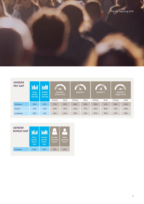| <b>GENDER</b><br><b>PAY GAP</b> | <b>Mean</b><br>Gender<br>Pay Gap | <b>Median</b><br>Gender<br>Pay Gap | <b>Ouartile 1</b> | (Lower 25%) | <b>Ouartile 2</b> |             | <b>Ouartile 3</b> |             | <b>Ouartile 4</b><br>(Upper 25%) |             |
|---------------------------------|----------------------------------|------------------------------------|-------------------|-------------|-------------------|-------------|-------------------|-------------|----------------------------------|-------------|
|                                 |                                  |                                    | <b>FEMALE</b>     | <b>MALE</b> | <b>FEMALE</b>     | <b>MALE</b> | <b>FEMALE</b>     | <b>MALE</b> | <b>FEMALE</b>                    | <b>MALE</b> |
| Employee                        | 20%                              | 23%                                | 75%               | 25%         | 80%               | 20%         | 59%               | 41%         | 60%                              | 40%         |
| Partner                         | 14%                              | 10%                                | 30%               | 70%         | 23%               | 77%         | 20%               | 80%         | 10%                              | 90%         |
| Combined                        | 58%                              | 41%                                | 76%               | 24%         | 76%               | 24%         | 61%               | 39%         | 41%                              | 59%         |

| <b>GENDER</b><br><b>BONUS GAP</b> | Mean<br>Gender<br><b>Bonus</b><br>Gap | <b>Median</b><br><b>Gender</b><br><b>Bonus</b><br>Gap | Females<br>receiving<br>bonus | <b>Males</b><br>receiving<br>bonus |
|-----------------------------------|---------------------------------------|-------------------------------------------------------|-------------------------------|------------------------------------|
| Employee                          | 33%                                   | 24%                                                   | 13%                           | 31%                                |

**• Our statutory gender pay gap in 2018 remains essentially static from 2017 at 25% (both mean and median) – with a slight reduction in our pay gap at both the mean and median of 0.4% and 0.8% respectively.**

**–** We have proportionately more females in our Business Services (63% female), Secretarial (100%) and Legal Support (77%) roles. These have lower average hourly rates than in our Lawyer population.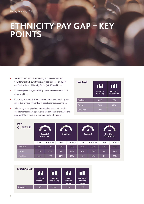### **ETHNICITY PAY GAP – KEY POINTS**

- **•** We are committed to transparency and pay fairness, and voluntarily publish our ethnicity pay gap for based on data for our Black, Asian and Minority Ethnic (BAME) workforce.
- **•** At the snapshot date, our BAME population accounted for 17% of our workforce.
- **•** Our analysis shows that the principal cause of our ethnicity pay gap is due to having fewer BAME people in more senior roles.
- **•** When we group equivalent roles together, we continue to be confident that our average salaries are comparable for BAME and non-BAME based on the role content and performance.

| <b>PAY GAP</b> | <b>Ethnicity</b><br><b>Mean Gap</b> | <b>Ethnicity</b><br><b>Median Gap</b> |  |
|----------------|-------------------------------------|---------------------------------------|--|
| Employee       | 24%                                 | 15%                                   |  |
| Partner        | 17%                                 | 20%                                   |  |
| Combined       | 48%                                 | 23%                                   |  |

| <b>PAY</b><br><b>QUARTILES</b> |             | <b>Ouartile 1</b><br>(Lower 25%) | <b>Ouartile 2</b> |                 | <b>Ouartile 3</b> |                 | <b>Ouartile 4</b><br>(Upper 25%) |                 |
|--------------------------------|-------------|----------------------------------|-------------------|-----------------|-------------------|-----------------|----------------------------------|-----------------|
|                                | <b>BAME</b> | <b>NON BAME</b>                  | <b>BAME</b>       | <b>NON BAME</b> | <b>BAME</b>       | <b>NON BAME</b> | <b>BAME</b>                      | <b>NON BAME</b> |
| Employee                       | 28%         | 72%                              | 22%               | 78%             | 17%               | 83%             | 12%                              | 88%             |
| Partner                        | 11%         | 89%                              | 4%                | 96%             | 4%                | 96%             | 3%                               | 97%             |
| Combined                       | 29%         | 71%                              | 22%               | 78%             | 13%               | 87%             | 9%                               | 91%             |

| <b>BONUS GAP</b> | <b>Ethnicity</b><br>Mean Gap | <b>Ethnicity</b><br><b>Median Gap</b> | <b>BAME</b><br>receiving<br>bonus | <b>Non BAME</b><br>receiving<br>bonus |
|------------------|------------------------------|---------------------------------------|-----------------------------------|---------------------------------------|
| Employee         | 47%                          | 26%                                   | 13%                               | 21%                                   |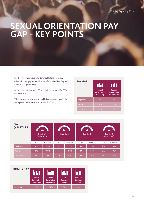## **SEXUAL ORIENTATION PAY GAP - KEY POINTS**

- **•** For the first time we are voluntarily publishing our sexual orientation pay gap for based on data for our Lesbian, Gay and Bisexual (LGB) workforce.
- **•** At the snapshot date, our LGB population accounted for 3% of our workforce.
- **•** While the people who identify as LGB are relatively small, they are represented at most levels across the firm

| <b>PAY GAP</b> | <b>Sexual</b><br><b>Orientation</b><br><b>Mean Gap</b> | <b>Sexual</b><br><b>Orientation</b><br><b>Median Gap</b> |  |
|----------------|--------------------------------------------------------|----------------------------------------------------------|--|
| Employee       | 7%                                                     | 8%                                                       |  |
| Partner        | 10%                                                    | 10%                                                      |  |
| Combined       | 23%                                                    | 7%                                                       |  |

| <b>PAY</b><br><b>QUARTILES</b> |            | <b>Ouartile 1</b><br>(Lower 25%) | <b>Ouartile 2</b> |                | <b>Ouartile 3</b> |                | Quartile 4<br>(Upper 25%) |                |
|--------------------------------|------------|----------------------------------|-------------------|----------------|-------------------|----------------|---------------------------|----------------|
|                                | <b>LGB</b> | <b>NON LGB</b>                   | <b>LGB</b>        | <b>NON LGB</b> | <b>LGB</b>        | <b>NON LGB</b> | <b>LGB</b>                | <b>NON LGB</b> |
| Employee                       | 4%         | 96%                              | 3%                | 97%            | 4%                | 96%            | 2%                        | 98%            |
| Partner                        | $0\%$      | 100%                             | 4%                | 96%            | 4%                | 96%            | 0%                        | 96%            |
| Combined                       | 4%         | 96%                              | 3%                | 97%            | 3%                | 97%            | 3%                        | 97%            |

| <b>BONUS GAP</b> | <b>Sexual</b>      | <b>Sexual</b>      | <b>LGB</b>       | <b>Non LGB</b>   |
|------------------|--------------------|--------------------|------------------|------------------|
|                  | <b>Orientation</b> | <b>Orientation</b> | <b>Receiving</b> | <b>Receiving</b> |
|                  | Mean Gap           | <b>Median Gap</b>  | <b>Bonus</b>     | <b>Bonus</b>     |
| Employee         | 7%                 | $-57%$             | 21%              | 19%              |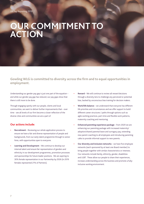### **OUR COMMITMENT TO ACTION**

### **Gowling WLG is committed to diversity across the firm and to equal opportunities in employment.**

Understanding our gender pay gap is just one part of the equation – and while our gender pay gap has reduced, our pay gaps show that there is still more to be done.

Through engaging openly with our people, clients and local communities, we want to deliver further improvements that – over time - see all levels of our firm become a closer reflection of the diverse cities and communities we are a part of.

#### **Our actions include:**

- **• Recruitment**  Reviewing our whole application process to ensure we have a fair and diverse representation of people and backgrounds, from our early talent programme through to senior hires, with opportunities open to everyone.
- **• Learning and Development** We continue to develop our internal talent and ensure fair representation of genders and ethnicity in our development programmes, promotion processes and sponsorships for future leader positions. We are aspiring to 30% female representation in our Partnership by 2026 (in 2019 females represented 21% of Partners).
- **• Reward** We will continue to review all reward decisions through a diversity lens to challenge any perceived or potential bias, backed by unconscious bias training for decision makers.
- **• Work/life balance** we understand that everyone has different life priorities and circumstances and we offer support to build different career structures / paths through options such as agile working practices, part-time and flexible work patterns, maternity coaching and mentoring.
- **• Enhanced parenting experience package** from 2020 we are enhancing our parenting package with increased maternity/ adoption/shared parental leave and surrogacy pay, extending new parent coaching to all employees and introducing parenting cafes to provide informal support to new parents.
- **• Our diversity and inclusion networks** we have five employee networks (each sponsored by at least one Board member) to bring people together with similar characteristics or interests. Our networks include family, ethnicity, gender, disabilities and LGBT. These allow our people to share their experiences, increase understanding across the business and promote a fullyinclusive working environment.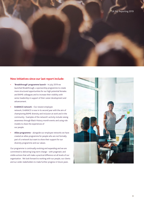#### **New initiatives since our last report include:**

- **• 'Breakthrough' programme launch**  In July 2019 we launched Breakthrough, a sponsorship programme to create more structured opportunities for our high potential females and BAME colleagues and to increase their visibility with senior leadership in support of their career development and advancement.
- **• EmbRACE network** Our newest employee network, EmbRACE is now in its second year with the aim of championing BAME diversity and inclusion at work and in the community. Examples of the network's activity include raising awareness through Black History month events and using role models to share the experiences of our people.
- **• Allies programme** alongside our employee networks we have created an allies programme for people who are not formally part of a network but want to show their support for our diversity programme and our values.

Our programme is continually evolving and expanding and we are committed to delivering long-term change – with pragmatic and visible actions that will make a practical difference at all levels of our organisation. We look forward to working with our people, our clients and our wider stakeholders to make further progress in future years.

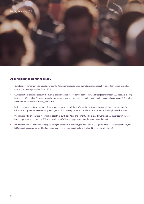#### **Appendix: notes on methodology**

- **•** Our statutory gender pay gap reporting under the Regulations is based on an overall average across all roles and seniorities (excluding Partners) at the snapshot date 5 April 2019.
- **•** Our calculations take into account the average position across all jobs across both of our UK offices (approximately 950 people excluding Partners, 1,100 including Partners). Around a third of our employees are based in London (with London market aligned salaries). The other two thirds are based in our Birmingham office.
- **•** Partners do not receiving a guaranteed salary but receive a share of the firm's profits which can rise and fall from year-to-year. To calculate hourly pay, we have added up earnings over the qualifying period and used the same formula as the employee calculation.
- **•** We base our ethnicity pay gap reporting on data from our Black, Asian and Minority Ethnic (BAME) workforce. At the snapshot date, our BAME population accounted for 17% of our workforce (94% of our population have disclosed their ethnicity).
- **•** We base our sexual orientation pay gap reporting on data from our lesbian, gay and bisexual (LGB) workforce. At the snapshot date, our LGB population accounted for 3% of our workforce (91% of our population have disclosed their sexual orientation).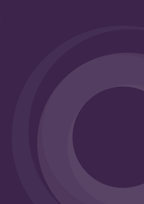